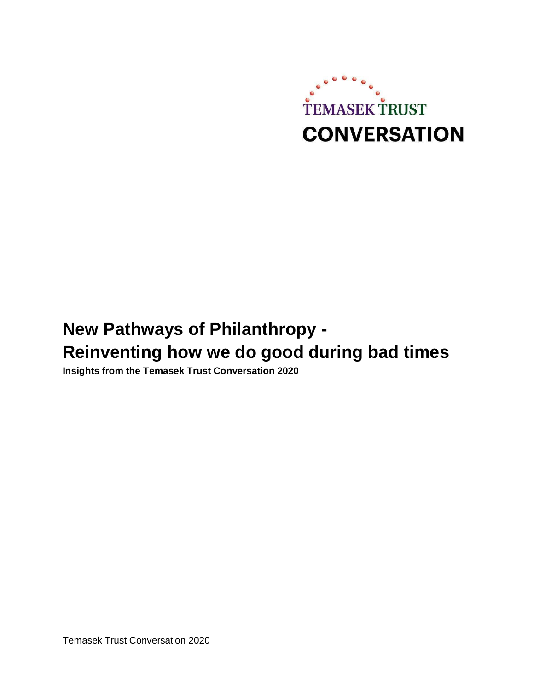

# **New Pathways of Philanthropy - Reinventing how we do good during bad times**

**Insights from the Temasek Trust Conversation 2020**

Temasek Trust Conversation 2020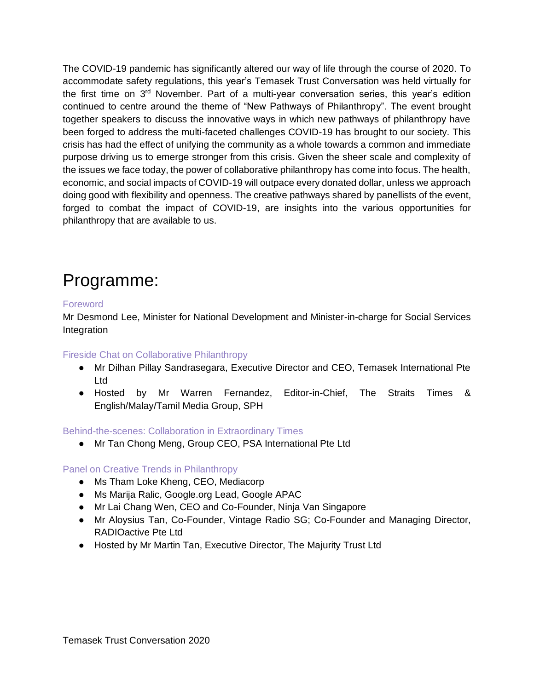The COVID-19 pandemic has significantly altered our way of life through the course of 2020. To accommodate safety regulations, this year's Temasek Trust Conversation was held virtually for the first time on 3<sup>rd</sup> November. Part of a multi-year conversation series, this year's edition continued to centre around the theme of "New Pathways of Philanthropy". The event brought together speakers to discuss the innovative ways in which new pathways of philanthropy have been forged to address the multi-faceted challenges COVID-19 has brought to our society. This crisis has had the effect of unifying the community as a whole towards a common and immediate purpose driving us to emerge stronger from this crisis. Given the sheer scale and complexity of the issues we face today, the power of collaborative philanthropy has come into focus. The health, economic, and social impacts of COVID-19 will outpace every donated dollar, unless we approach doing good with flexibility and openness. The creative pathways shared by panellists of the event, forged to combat the impact of COVID-19, are insights into the various opportunities for philanthropy that are available to us.

# Programme:

#### **Foreword**

Mr Desmond Lee, Minister for National Development and Minister-in-charge for Social Services Integration

#### Fireside Chat on Collaborative Philanthropy

- Mr Dilhan Pillay Sandrasegara, Executive Director and CEO, Temasek International Pte Ltd
- Hosted by Mr Warren Fernandez, Editor-in-Chief, The Straits Times & English/Malay/Tamil Media Group, SPH

#### Behind-the-scenes: Collaboration in Extraordinary Times

● Mr Tan Chong Meng, Group CEO, PSA International Pte Ltd

#### Panel on Creative Trends in Philanthropy

- Ms Tham Loke Kheng, CEO, Mediacorp
- Ms Marija Ralic, Google.org Lead, Google APAC
- Mr Lai Chang Wen, CEO and Co-Founder, Ninja Van Singapore
- Mr Aloysius Tan, Co-Founder, Vintage Radio SG; Co-Founder and Managing Director, RADIOactive Pte Ltd
- Hosted by Mr Martin Tan, Executive Director, The Majurity Trust Ltd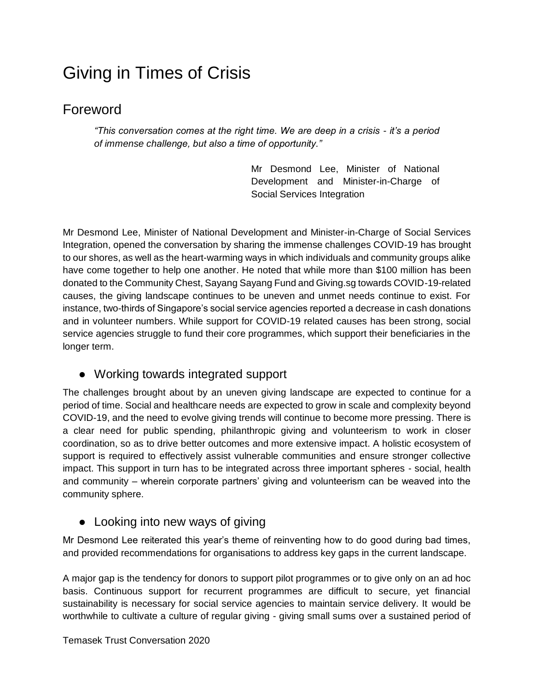# Giving in Times of Crisis

# Foreword

*"This conversation comes at the right time. We are deep in a crisis - it's a period of immense challenge, but also a time of opportunity."*

> Mr Desmond Lee, Minister of National Development and Minister-in-Charge of Social Services Integration

Mr Desmond Lee, Minister of National Development and Minister-in-Charge of Social Services Integration, opened the conversation by sharing the immense challenges COVID-19 has brought to our shores, as well as the heart-warming ways in which individuals and community groups alike have come together to help one another. He noted that while more than \$100 million has been donated to the Community Chest, Sayang Sayang Fund and Giving.sg towards COVID-19-related causes, the giving landscape continues to be uneven and unmet needs continue to exist. For instance, two-thirds of Singapore's social service agencies reported a decrease in cash donations and in volunteer numbers. While support for COVID-19 related causes has been strong, social service agencies struggle to fund their core programmes, which support their beneficiaries in the longer term.

### ● Working towards integrated support

The challenges brought about by an uneven giving landscape are expected to continue for a period of time. Social and healthcare needs are expected to grow in scale and complexity beyond COVID-19, and the need to evolve giving trends will continue to become more pressing. There is a clear need for public spending, philanthropic giving and volunteerism to work in closer coordination, so as to drive better outcomes and more extensive impact. A holistic ecosystem of support is required to effectively assist vulnerable communities and ensure stronger collective impact. This support in turn has to be integrated across three important spheres - social, health and community – wherein corporate partners' giving and volunteerism can be weaved into the community sphere.

### • Looking into new ways of giving

Mr Desmond Lee reiterated this year's theme of reinventing how to do good during bad times, and provided recommendations for organisations to address key gaps in the current landscape.

A major gap is the tendency for donors to support pilot programmes or to give only on an ad hoc basis. Continuous support for recurrent programmes are difficult to secure, yet financial sustainability is necessary for social service agencies to maintain service delivery. It would be worthwhile to cultivate a culture of regular giving - giving small sums over a sustained period of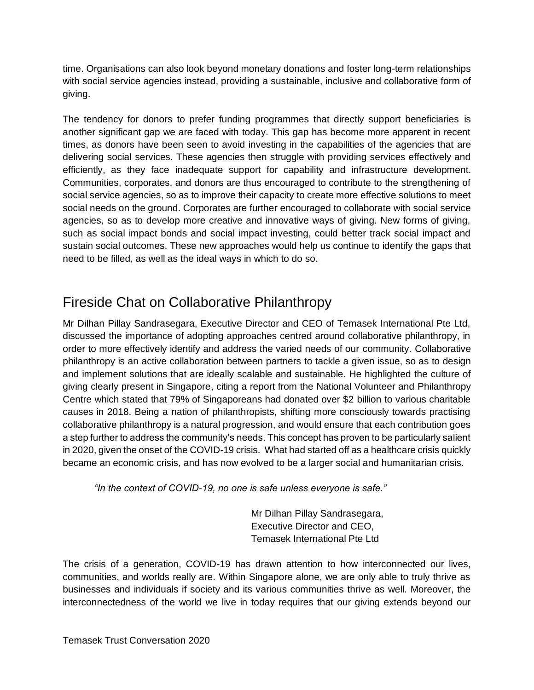time. Organisations can also look beyond monetary donations and foster long-term relationships with social service agencies instead, providing a sustainable, inclusive and collaborative form of giving.

The tendency for donors to prefer funding programmes that directly support beneficiaries is another significant gap we are faced with today. This gap has become more apparent in recent times, as donors have been seen to avoid investing in the capabilities of the agencies that are delivering social services. These agencies then struggle with providing services effectively and efficiently, as they face inadequate support for capability and infrastructure development. Communities, corporates, and donors are thus encouraged to contribute to the strengthening of social service agencies, so as to improve their capacity to create more effective solutions to meet social needs on the ground. Corporates are further encouraged to collaborate with social service agencies, so as to develop more creative and innovative ways of giving. New forms of giving, such as social impact bonds and social impact investing, could better track social impact and sustain social outcomes. These new approaches would help us continue to identify the gaps that need to be filled, as well as the ideal ways in which to do so.

# Fireside Chat on Collaborative Philanthropy

Mr Dilhan Pillay Sandrasegara, Executive Director and CEO of Temasek International Pte Ltd, discussed the importance of adopting approaches centred around collaborative philanthropy, in order to more effectively identify and address the varied needs of our community. Collaborative philanthropy is an active collaboration between partners to tackle a given issue, so as to design and implement solutions that are ideally scalable and sustainable. He highlighted the culture of giving clearly present in Singapore, citing a report from the National Volunteer and Philanthropy Centre which stated that 79% of Singaporeans had donated over \$2 billion to various charitable causes in 2018. Being a nation of philanthropists, shifting more consciously towards practising collaborative philanthropy is a natural progression, and would ensure that each contribution goes a step further to address the community's needs. This concept has proven to be particularly salient in 2020, given the onset of the COVID-19 crisis. What had started off as a healthcare crisis quickly became an economic crisis, and has now evolved to be a larger social and humanitarian crisis.

*"In the context of COVID-19, no one is safe unless everyone is safe."*

Mr Dilhan Pillay Sandrasegara, Executive Director and CEO, Temasek International Pte Ltd

The crisis of a generation, COVID-19 has drawn attention to how interconnected our lives, communities, and worlds really are. Within Singapore alone, we are only able to truly thrive as businesses and individuals if society and its various communities thrive as well. Moreover, the interconnectedness of the world we live in today requires that our giving extends beyond our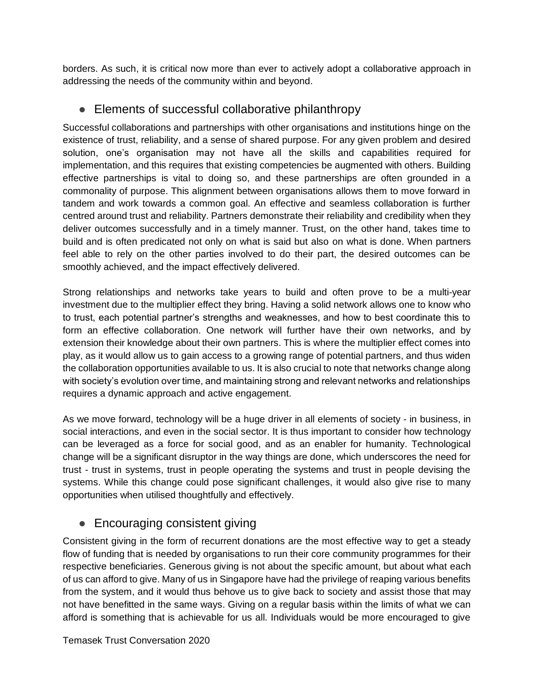borders. As such, it is critical now more than ever to actively adopt a collaborative approach in addressing the needs of the community within and beyond.

## ● Elements of successful collaborative philanthropy

Successful collaborations and partnerships with other organisations and institutions hinge on the existence of trust, reliability, and a sense of shared purpose. For any given problem and desired solution, one's organisation may not have all the skills and capabilities required for implementation, and this requires that existing competencies be augmented with others. Building effective partnerships is vital to doing so, and these partnerships are often grounded in a commonality of purpose. This alignment between organisations allows them to move forward in tandem and work towards a common goal. An effective and seamless collaboration is further centred around trust and reliability. Partners demonstrate their reliability and credibility when they deliver outcomes successfully and in a timely manner. Trust, on the other hand, takes time to build and is often predicated not only on what is said but also on what is done. When partners feel able to rely on the other parties involved to do their part, the desired outcomes can be smoothly achieved, and the impact effectively delivered.

Strong relationships and networks take years to build and often prove to be a multi-year investment due to the multiplier effect they bring. Having a solid network allows one to know who to trust, each potential partner's strengths and weaknesses, and how to best coordinate this to form an effective collaboration. One network will further have their own networks, and by extension their knowledge about their own partners. This is where the multiplier effect comes into play, as it would allow us to gain access to a growing range of potential partners, and thus widen the collaboration opportunities available to us. It is also crucial to note that networks change along with society's evolution over time, and maintaining strong and relevant networks and relationships requires a dynamic approach and active engagement.

As we move forward, technology will be a huge driver in all elements of society - in business, in social interactions, and even in the social sector. It is thus important to consider how technology can be leveraged as a force for social good, and as an enabler for humanity. Technological change will be a significant disruptor in the way things are done, which underscores the need for trust - trust in systems, trust in people operating the systems and trust in people devising the systems. While this change could pose significant challenges, it would also give rise to many opportunities when utilised thoughtfully and effectively.

## ● Encouraging consistent giving

Consistent giving in the form of recurrent donations are the most effective way to get a steady flow of funding that is needed by organisations to run their core community programmes for their respective beneficiaries. Generous giving is not about the specific amount, but about what each of us can afford to give. Many of us in Singapore have had the privilege of reaping various benefits from the system, and it would thus behove us to give back to society and assist those that may not have benefitted in the same ways. Giving on a regular basis within the limits of what we can afford is something that is achievable for us all. Individuals would be more encouraged to give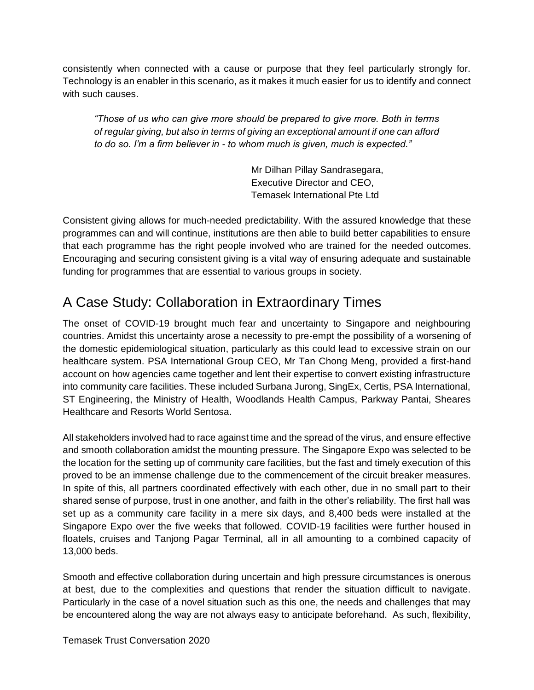consistently when connected with a cause or purpose that they feel particularly strongly for. Technology is an enabler in this scenario, as it makes it much easier for us to identify and connect with such causes.

*"Those of us who can give more should be prepared to give more. Both in terms of regular giving, but also in terms of giving an exceptional amount if one can afford to do so. I'm a firm believer in - to whom much is given, much is expected."*

> Mr Dilhan Pillay Sandrasegara, Executive Director and CEO, Temasek International Pte Ltd

Consistent giving allows for much-needed predictability. With the assured knowledge that these programmes can and will continue, institutions are then able to build better capabilities to ensure that each programme has the right people involved who are trained for the needed outcomes. Encouraging and securing consistent giving is a vital way of ensuring adequate and sustainable funding for programmes that are essential to various groups in society.

# A Case Study: Collaboration in Extraordinary Times

The onset of COVID-19 brought much fear and uncertainty to Singapore and neighbouring countries. Amidst this uncertainty arose a necessity to pre-empt the possibility of a worsening of the domestic epidemiological situation, particularly as this could lead to excessive strain on our healthcare system. PSA International Group CEO, Mr Tan Chong Meng, provided a first-hand account on how agencies came together and lent their expertise to convert existing infrastructure into community care facilities. These included Surbana Jurong, SingEx, Certis, PSA International, ST Engineering, the Ministry of Health, Woodlands Health Campus, Parkway Pantai, Sheares Healthcare and Resorts World Sentosa.

All stakeholders involved had to race against time and the spread of the virus, and ensure effective and smooth collaboration amidst the mounting pressure. The Singapore Expo was selected to be the location for the setting up of community care facilities, but the fast and timely execution of this proved to be an immense challenge due to the commencement of the circuit breaker measures. In spite of this, all partners coordinated effectively with each other, due in no small part to their shared sense of purpose, trust in one another, and faith in the other's reliability. The first hall was set up as a community care facility in a mere six days, and 8,400 beds were installed at the Singapore Expo over the five weeks that followed. COVID-19 facilities were further housed in floatels, cruises and Tanjong Pagar Terminal, all in all amounting to a combined capacity of 13,000 beds.

Smooth and effective collaboration during uncertain and high pressure circumstances is onerous at best, due to the complexities and questions that render the situation difficult to navigate. Particularly in the case of a novel situation such as this one, the needs and challenges that may be encountered along the way are not always easy to anticipate beforehand. As such, flexibility,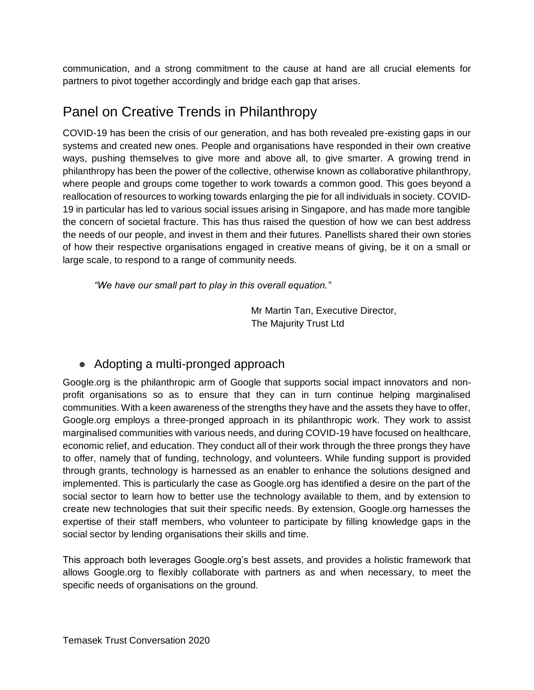communication, and a strong commitment to the cause at hand are all crucial elements for partners to pivot together accordingly and bridge each gap that arises.

# Panel on Creative Trends in Philanthropy

COVID-19 has been the crisis of our generation, and has both revealed pre-existing gaps in our systems and created new ones. People and organisations have responded in their own creative ways, pushing themselves to give more and above all, to give smarter. A growing trend in philanthropy has been the power of the collective, otherwise known as collaborative philanthropy, where people and groups come together to work towards a common good. This goes beyond a reallocation of resources to working towards enlarging the pie for all individuals in society. COVID-19 in particular has led to various social issues arising in Singapore, and has made more tangible the concern of societal fracture. This has thus raised the question of how we can best address the needs of our people, and invest in them and their futures. Panellists shared their own stories of how their respective organisations engaged in creative means of giving, be it on a small or large scale, to respond to a range of community needs.

*"We have our small part to play in this overall equation."*

Mr Martin Tan, Executive Director, The Majurity Trust Ltd

## ● Adopting a multi-pronged approach

Google.org is the philanthropic arm of Google that supports social impact innovators and nonprofit organisations so as to ensure that they can in turn continue helping marginalised communities. With a keen awareness of the strengths they have and the assets they have to offer, Google.org employs a three-pronged approach in its philanthropic work. They work to assist marginalised communities with various needs, and during COVID-19 have focused on healthcare, economic relief, and education. They conduct all of their work through the three prongs they have to offer, namely that of funding, technology, and volunteers. While funding support is provided through grants, technology is harnessed as an enabler to enhance the solutions designed and implemented. This is particularly the case as Google.org has identified a desire on the part of the social sector to learn how to better use the technology available to them, and by extension to create new technologies that suit their specific needs. By extension, Google.org harnesses the expertise of their staff members, who volunteer to participate by filling knowledge gaps in the social sector by lending organisations their skills and time.

This approach both leverages Google.org's best assets, and provides a holistic framework that allows Google.org to flexibly collaborate with partners as and when necessary, to meet the specific needs of organisations on the ground.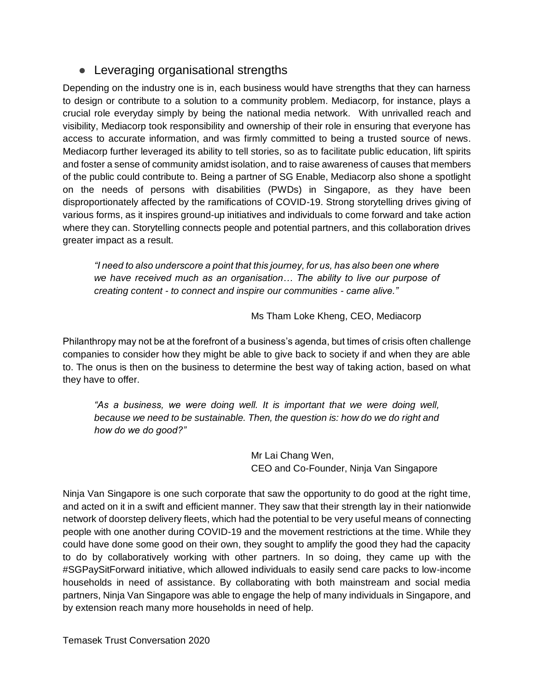### ● Leveraging organisational strengths

Depending on the industry one is in, each business would have strengths that they can harness to design or contribute to a solution to a community problem. Mediacorp, for instance, plays a crucial role everyday simply by being the national media network. With unrivalled reach and visibility, Mediacorp took responsibility and ownership of their role in ensuring that everyone has access to accurate information, and was firmly committed to being a trusted source of news. Mediacorp further leveraged its ability to tell stories, so as to facilitate public education, lift spirits and foster a sense of community amidst isolation, and to raise awareness of causes that members of the public could contribute to. Being a partner of SG Enable, Mediacorp also shone a spotlight on the needs of persons with disabilities (PWDs) in Singapore, as they have been disproportionately affected by the ramifications of COVID-19. Strong storytelling drives giving of various forms, as it inspires ground-up initiatives and individuals to come forward and take action where they can. Storytelling connects people and potential partners, and this collaboration drives greater impact as a result.

*"I need to also underscore a point that this journey, for us, has also been one where we have received much as an organisation… The ability to live our purpose of creating content - to connect and inspire our communities - came alive."*

Ms Tham Loke Kheng, CEO, Mediacorp

Philanthropy may not be at the forefront of a business's agenda, but times of crisis often challenge companies to consider how they might be able to give back to society if and when they are able to. The onus is then on the business to determine the best way of taking action, based on what they have to offer.

*"As a business, we were doing well. It is important that we were doing well, because we need to be sustainable. Then, the question is: how do we do right and how do we do good?"*

> Mr Lai Chang Wen, CEO and Co-Founder, Ninja Van Singapore

Ninja Van Singapore is one such corporate that saw the opportunity to do good at the right time, and acted on it in a swift and efficient manner. They saw that their strength lay in their nationwide network of doorstep delivery fleets, which had the potential to be very useful means of connecting people with one another during COVID-19 and the movement restrictions at the time. While they could have done some good on their own, they sought to amplify the good they had the capacity to do by collaboratively working with other partners. In so doing, they came up with the #SGPaySitForward initiative, which allowed individuals to easily send care packs to low-income households in need of assistance. By collaborating with both mainstream and social media partners, Ninja Van Singapore was able to engage the help of many individuals in Singapore, and by extension reach many more households in need of help.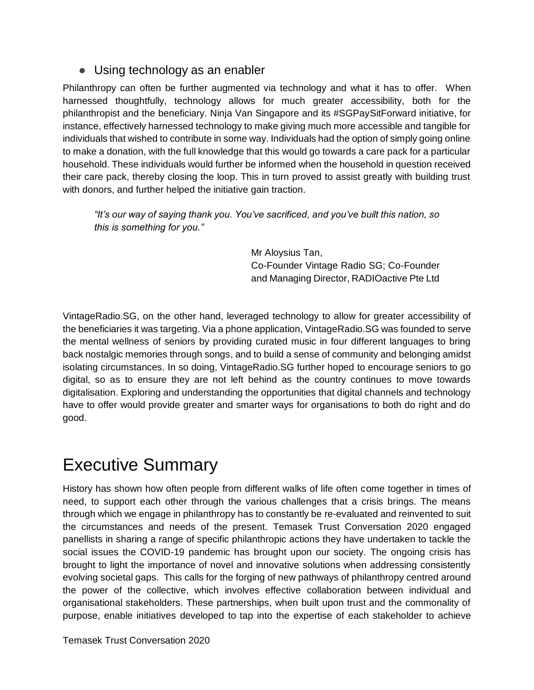### ● Using technology as an enabler

Philanthropy can often be further augmented via technology and what it has to offer. When harnessed thoughtfully, technology allows for much greater accessibility, both for the philanthropist and the beneficiary. Ninja Van Singapore and its #SGPaySitForward initiative, for instance, effectively harnessed technology to make giving much more accessible and tangible for individuals that wished to contribute in some way. Individuals had the option of simply going online to make a donation, with the full knowledge that this would go towards a care pack for a particular household. These individuals would further be informed when the household in question received their care pack, thereby closing the loop. This in turn proved to assist greatly with building trust with donors, and further helped the initiative gain traction.

*"It's our way of saying thank you. You've sacrificed, and you've built this nation, so this is something for you."*

> Mr Aloysius Tan, Co-Founder Vintage Radio SG; Co-Founder and Managing Director, RADIOactive Pte Ltd

VintageRadio.SG, on the other hand, leveraged technology to allow for greater accessibility of the beneficiaries it was targeting. Via a phone application, VintageRadio.SG was founded to serve the mental wellness of seniors by providing curated music in four different languages to bring back nostalgic memories through songs, and to build a sense of community and belonging amidst isolating circumstances. In so doing, VintageRadio.SG further hoped to encourage seniors to go digital, so as to ensure they are not left behind as the country continues to move towards digitalisation. Exploring and understanding the opportunities that digital channels and technology have to offer would provide greater and smarter ways for organisations to both do right and do good.

# Executive Summary

History has shown how often people from different walks of life often come together in times of need, to support each other through the various challenges that a crisis brings. The means through which we engage in philanthropy has to constantly be re-evaluated and reinvented to suit the circumstances and needs of the present. Temasek Trust Conversation 2020 engaged panellists in sharing a range of specific philanthropic actions they have undertaken to tackle the social issues the COVID-19 pandemic has brought upon our society. The ongoing crisis has brought to light the importance of novel and innovative solutions when addressing consistently evolving societal gaps. This calls for the forging of new pathways of philanthropy centred around the power of the collective, which involves effective collaboration between individual and organisational stakeholders. These partnerships, when built upon trust and the commonality of purpose, enable initiatives developed to tap into the expertise of each stakeholder to achieve

Temasek Trust Conversation 2020